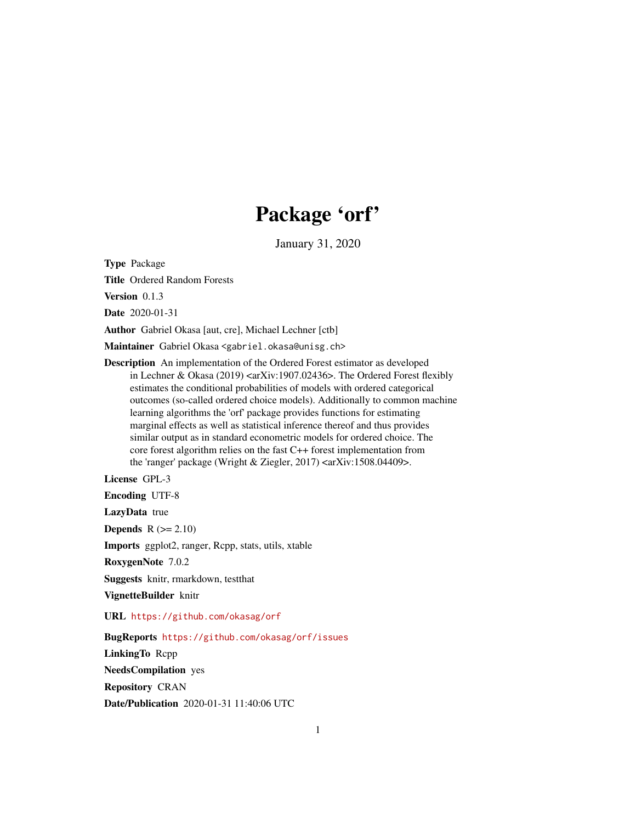# Package 'orf'

January 31, 2020

Type Package

Title Ordered Random Forests

Version 0.1.3

Date 2020-01-31

Author Gabriel Okasa [aut, cre], Michael Lechner [ctb]

Maintainer Gabriel Okasa <gabriel.okasa@unisg.ch>

Description An implementation of the Ordered Forest estimator as developed in Lechner & Okasa (2019) < $arXiv:1907.02436$ >. The Ordered Forest flexibly estimates the conditional probabilities of models with ordered categorical outcomes (so-called ordered choice models). Additionally to common machine learning algorithms the 'orf' package provides functions for estimating marginal effects as well as statistical inference thereof and thus provides similar output as in standard econometric models for ordered choice. The core forest algorithm relies on the fast C++ forest implementation from the 'ranger' package (Wright & Ziegler, 2017) <arXiv:1508.04409>.

License GPL-3

Encoding UTF-8

LazyData true

**Depends**  $R$  ( $>= 2.10$ )

Imports ggplot2, ranger, Rcpp, stats, utils, xtable

RoxygenNote 7.0.2

Suggests knitr, rmarkdown, testthat

VignetteBuilder knitr

URL <https://github.com/okasag/orf>

BugReports <https://github.com/okasag/orf/issues> LinkingTo Rcpp NeedsCompilation yes Repository CRAN Date/Publication 2020-01-31 11:40:06 UTC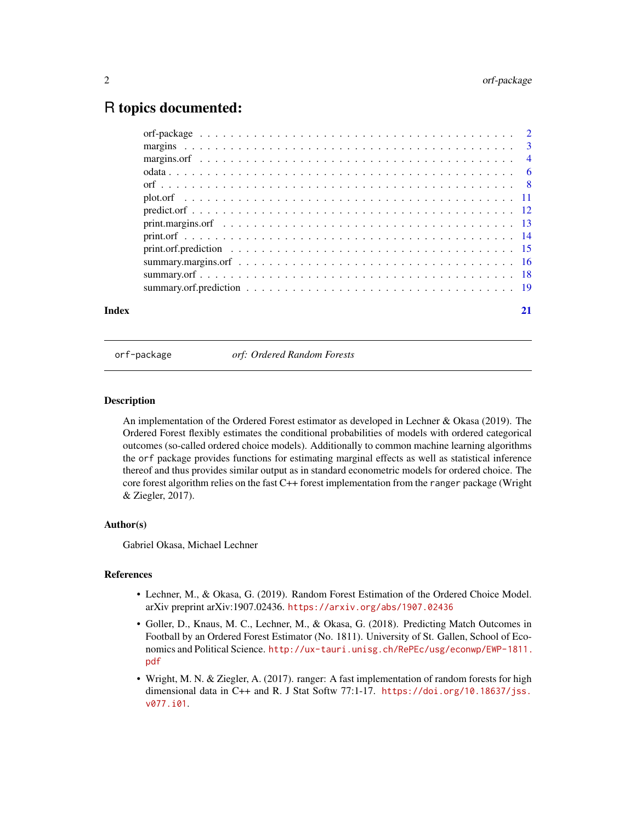# <span id="page-1-0"></span>R topics documented:

| Index |  |
|-------|--|

orf-package *orf: Ordered Random Forests*

# Description

An implementation of the Ordered Forest estimator as developed in Lechner & Okasa (2019). The Ordered Forest flexibly estimates the conditional probabilities of models with ordered categorical outcomes (so-called ordered choice models). Additionally to common machine learning algorithms the orf package provides functions for estimating marginal effects as well as statistical inference thereof and thus provides similar output as in standard econometric models for ordered choice. The core forest algorithm relies on the fast C++ forest implementation from the ranger package (Wright & Ziegler, 2017).

# Author(s)

Gabriel Okasa, Michael Lechner

# **References**

- Lechner, M., & Okasa, G. (2019). Random Forest Estimation of the Ordered Choice Model. arXiv preprint arXiv:1907.02436. <https://arxiv.org/abs/1907.02436>
- Goller, D., Knaus, M. C., Lechner, M., & Okasa, G. (2018). Predicting Match Outcomes in Football by an Ordered Forest Estimator (No. 1811). University of St. Gallen, School of Economics and Political Science. [http://ux-tauri.unisg.ch/RePEc/usg/econwp/EWP-1811.](http://ux-tauri.unisg.ch/RePEc/usg/econwp/EWP-1811.pdf) [pdf](http://ux-tauri.unisg.ch/RePEc/usg/econwp/EWP-1811.pdf)
- Wright, M. N. & Ziegler, A. (2017). ranger: A fast implementation of random forests for high dimensional data in C++ and R. J Stat Softw 77:1-17. [https://doi.org/10.18637/jss.](https://doi.org/10.18637/jss.v077.i01) [v077.i01](https://doi.org/10.18637/jss.v077.i01).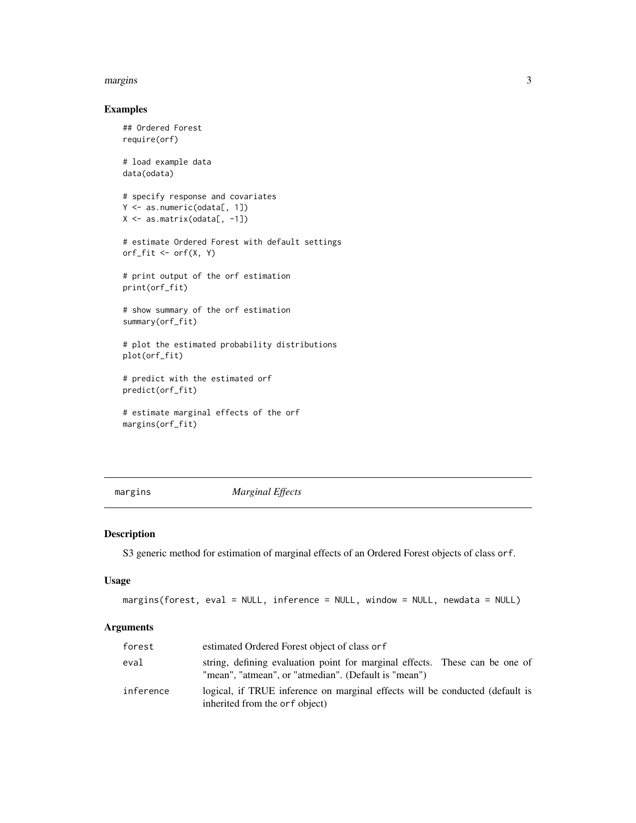#### <span id="page-2-0"></span>margins 3

# Examples

```
## Ordered Forest
require(orf)
# load example data
data(odata)
# specify response and covariates
Y <- as.numeric(odata[, 1])
X \leftarrow \text{as_matrix}(\text{odata}[, -1])# estimate Ordered Forest with default settings
orf_fit <- orf(X, Y)
# print output of the orf estimation
print(orf_fit)
# show summary of the orf estimation
summary(orf_fit)
# plot the estimated probability distributions
plot(orf_fit)
# predict with the estimated orf
predict(orf_fit)
```

```
# estimate marginal effects of the orf
margins(orf_fit)
```
margins *Marginal Effects*

# Description

S3 generic method for estimation of marginal effects of an Ordered Forest objects of class orf.

# Usage

```
margins(forest, eval = NULL, inference = NULL, window = NULL, newdata = NULL)
```
#### Arguments

| forest    | estimated Ordered Forest object of class or f                                                                                       |
|-----------|-------------------------------------------------------------------------------------------------------------------------------------|
| eval      | string, defining evaluation point for marginal effects. These can be one of<br>"mean", "atmean", or "atmedian". (Default is "mean") |
| inference | logical, if TRUE inference on marginal effects will be conducted (default is<br>inherited from the orf object)                      |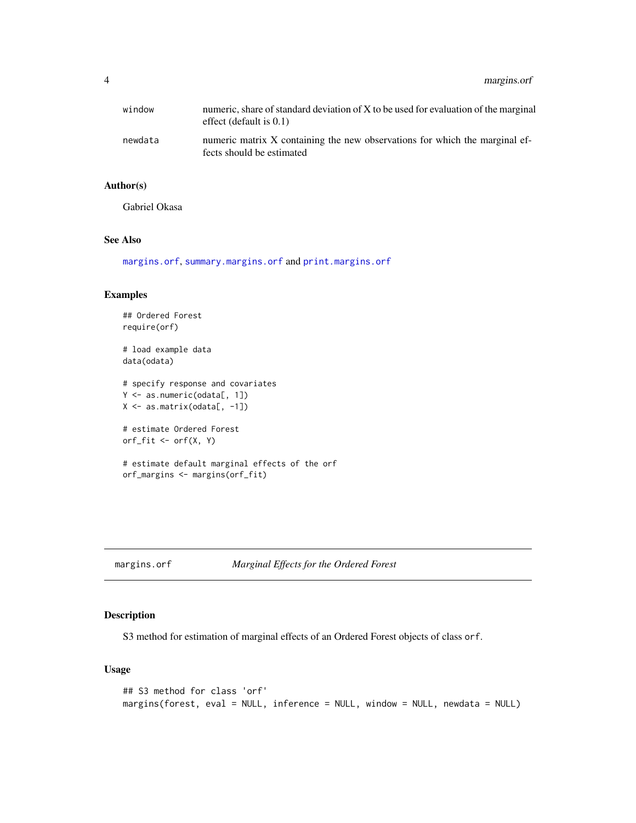<span id="page-3-0"></span>4 margins.orf

| window  | numeric, share of standard deviation of X to be used for evaluation of the marginal<br>effect (default is $0.1$ ) |
|---------|-------------------------------------------------------------------------------------------------------------------|
| newdata | numeric matrix X containing the new observations for which the marginal ef-<br>fects should be estimated          |

# Author(s)

Gabriel Okasa

# See Also

[margins.orf](#page-3-1), [summary.margins.orf](#page-15-1) and [print.margins.orf](#page-12-1)

# Examples

```
## Ordered Forest
require(orf)
# load example data
data(odata)
# specify response and covariates
Y <- as.numeric(odata[, 1])
X \leftarrow \text{as_matrix}(\text{odata}[, -1])# estimate Ordered Forest
orf_fit \leftarrow orf(X, Y)# estimate default marginal effects of the orf
orf_margins <- margins(orf_fit)
```

```
margins.orf Marginal Effects for the Ordered Forest
```
# Description

S3 method for estimation of marginal effects of an Ordered Forest objects of class orf.

# Usage

```
## S3 method for class 'orf'
margins(forest, eval = NULL, inference = NULL, window = NULL, newdata = NULL)
```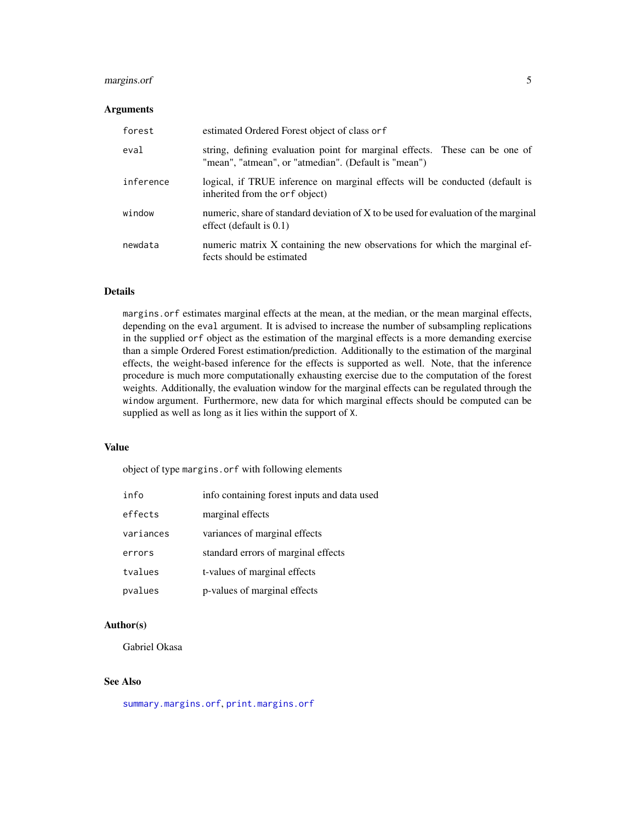# <span id="page-4-0"></span>margins.orf 5

# Arguments

| forest    | estimated Ordered Forest object of class or f                                                                                       |
|-----------|-------------------------------------------------------------------------------------------------------------------------------------|
| eval      | string, defining evaluation point for marginal effects. These can be one of<br>"mean", "atmean", or "atmedian". (Default is "mean") |
| inference | logical, if TRUE inference on marginal effects will be conducted (default is<br>inherited from the orf object)                      |
| window    | numeric, share of standard deviation of X to be used for evaluation of the marginal<br>effect (default is $0.1$ )                   |
| newdata   | numeric matrix X containing the new observations for which the marginal ef-<br>fects should be estimated                            |

# Details

margins.orf estimates marginal effects at the mean, at the median, or the mean marginal effects, depending on the eval argument. It is advised to increase the number of subsampling replications in the supplied orf object as the estimation of the marginal effects is a more demanding exercise than a simple Ordered Forest estimation/prediction. Additionally to the estimation of the marginal effects, the weight-based inference for the effects is supported as well. Note, that the inference procedure is much more computationally exhausting exercise due to the computation of the forest weights. Additionally, the evaluation window for the marginal effects can be regulated through the window argument. Furthermore, new data for which marginal effects should be computed can be supplied as well as long as it lies within the support of X.

#### Value

object of type margins.orf with following elements

| info      | info containing forest inputs and data used |
|-----------|---------------------------------------------|
| effects   | marginal effects                            |
| variances | variances of marginal effects               |
| errors    | standard errors of marginal effects         |
| tvalues   | t-values of marginal effects                |
| pvalues   | p-values of marginal effects                |

# Author(s)

Gabriel Okasa

# See Also

[summary.margins.orf](#page-15-1), [print.margins.orf](#page-12-1)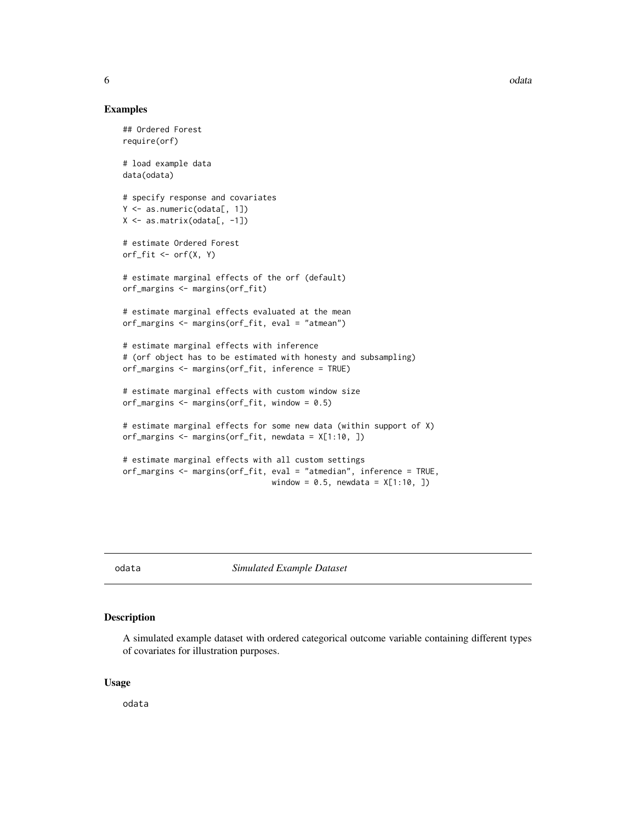#### <span id="page-5-0"></span>Examples

```
## Ordered Forest
require(orf)
# load example data
data(odata)
# specify response and covariates
Y <- as.numeric(odata[, 1])
X \leftarrow \text{as_matrix}(\text{odata}[, -1])# estimate Ordered Forest
orf_fit \leftarrow orf(X, Y)# estimate marginal effects of the orf (default)
orf_margins <- margins(orf_fit)
# estimate marginal effects evaluated at the mean
orf_margins <- margins(orf_fit, eval = "atmean")
# estimate marginal effects with inference
# (orf object has to be estimated with honesty and subsampling)
orf_margins <- margins(orf_fit, inference = TRUE)
# estimate marginal effects with custom window size
orf_margins <- margins(orf_fit, window = 0.5)
# estimate marginal effects for some new data (within support of X)
orf_margins <- margins(orf_fit, newdata = X[1:10, ])
# estimate marginal effects with all custom settings
orf_margins <- margins(orf_fit, eval = "atmedian", inference = TRUE,
                                 window = 0.5, newdata = X[1:10, ]
```
odata *Simulated Example Dataset*

# Description

A simulated example dataset with ordered categorical outcome variable containing different types of covariates for illustration purposes.

#### Usage

odata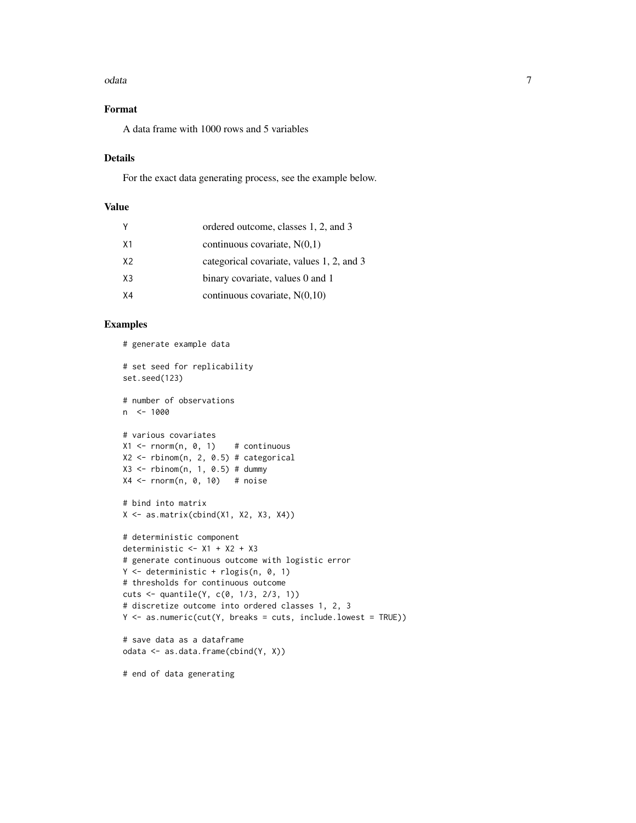#### odata  $\overline{7}$

# Format

A data frame with 1000 rows and 5 variables

# Details

For the exact data generating process, see the example below.

# Value

| Y              | ordered outcome, classes 1, 2, and 3      |
|----------------|-------------------------------------------|
| X <sub>1</sub> | continuous covariate, $N(0,1)$            |
| X2             | categorical covariate, values 1, 2, and 3 |
| X3             | binary covariate, values 0 and 1          |
| X4             | continuous covariate, $N(0,10)$           |

# Examples

```
# generate example data
# set seed for replicability
set.seed(123)
# number of observations
n <- 1000
# various covariates
X1 \leftarrow \text{norm}(n, 0, 1) # continuous
X2 \leq - rbinom(n, 2, 0.5) # categorical
X3 \leftarrow \text{rbinom}(n, 1, 0.5) \# \text{dummy}X4 \leq rnorm(n, 0, 10) # noise
# bind into matrix
X <- as.matrix(cbind(X1, X2, X3, X4))
# deterministic component
deterministic <- X1 + X2 + X3
# generate continuous outcome with logistic error
Y <- deterministic + rlogis(n, 0, 1)
# thresholds for continuous outcome
cuts <- quantile(Y, c(0, 1/3, 2/3, 1))
# discretize outcome into ordered classes 1, 2, 3
Y <- as.numeric(cut(Y, breaks = cuts, include.lowest = TRUE))
# save data as a dataframe
odata <- as.data.frame(cbind(Y, X))
```
# end of data generating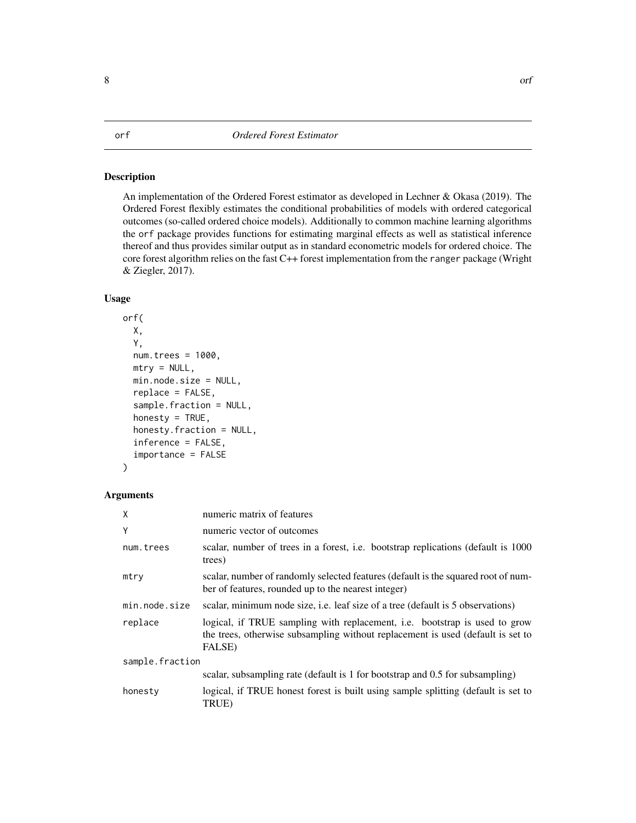# <span id="page-7-0"></span>Description

An implementation of the Ordered Forest estimator as developed in Lechner & Okasa (2019). The Ordered Forest flexibly estimates the conditional probabilities of models with ordered categorical outcomes (so-called ordered choice models). Additionally to common machine learning algorithms the orf package provides functions for estimating marginal effects as well as statistical inference thereof and thus provides similar output as in standard econometric models for ordered choice. The core forest algorithm relies on the fast C++ forest implementation from the ranger package (Wright & Ziegler, 2017).

# Usage

```
orf(
  X,
  Y,
  num.trees = 1000,
  mtry = NULL,min.node.size = NULL,
  replace = FALSE,
  sample.fraction = NULL,
  honesty = TRUE,
  honesty.fraction = NULL,
  inference = FALSE,
  importance = FALSE
)
```
# Arguments

| X               | numeric matrix of features                                                                                                                                                     |  |
|-----------------|--------------------------------------------------------------------------------------------------------------------------------------------------------------------------------|--|
| Y               | numeric vector of outcomes                                                                                                                                                     |  |
| num.trees       | scalar, number of trees in a forest, i.e. bootstrap replications (default is 1000)<br>trees)                                                                                   |  |
| mtry            | scalar, number of randomly selected features (default is the squared root of num-<br>ber of features, rounded up to the nearest integer)                                       |  |
| min.node.size   | scalar, minimum node size, i.e. leaf size of a tree (default is 5 observations)                                                                                                |  |
| replace         | logical, if TRUE sampling with replacement, <i>i.e.</i> bootstrap is used to grow<br>the trees, otherwise subsampling without replacement is used (default is set to<br>FALSE) |  |
| sample.fraction |                                                                                                                                                                                |  |
|                 | scalar, subsampling rate (default is 1 for bootstrap and 0.5 for subsampling)                                                                                                  |  |
| honesty         | logical, if TRUE honest forest is built using sample splitting (default is set to<br>TRUE)                                                                                     |  |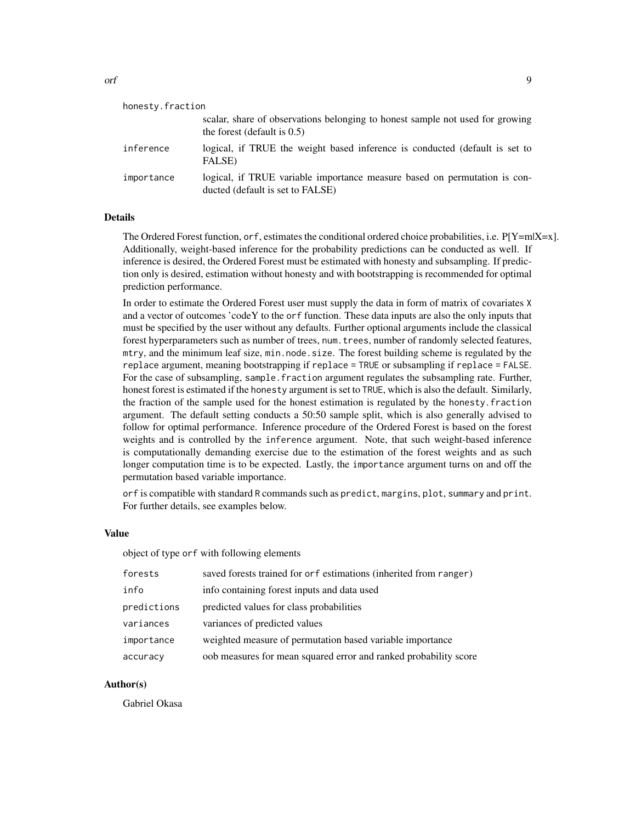| honesty.fraction |                                                                                                                 |  |
|------------------|-----------------------------------------------------------------------------------------------------------------|--|
|                  | scalar, share of observations belonging to honest sample not used for growing<br>the forest (default is $0.5$ ) |  |
| inference        | logical, if TRUE the weight based inference is conducted (default is set to<br>FALSE)                           |  |
| importance       | logical, if TRUE variable importance measure based on permutation is con-<br>ducted (default is set to FALSE)   |  |

# Details

The Ordered Forest function, or f, estimates the conditional ordered choice probabilities, i.e.  $P[Y=m|X=x]$ . Additionally, weight-based inference for the probability predictions can be conducted as well. If inference is desired, the Ordered Forest must be estimated with honesty and subsampling. If prediction only is desired, estimation without honesty and with bootstrapping is recommended for optimal prediction performance.

In order to estimate the Ordered Forest user must supply the data in form of matrix of covariates X and a vector of outcomes 'codeY to the orf function. These data inputs are also the only inputs that must be specified by the user without any defaults. Further optional arguments include the classical forest hyperparameters such as number of trees, num.trees, number of randomly selected features, mtry, and the minimum leaf size, min.node.size. The forest building scheme is regulated by the replace argument, meaning bootstrapping if replace = TRUE or subsampling if replace = FALSE. For the case of subsampling, sample. fraction argument regulates the subsampling rate. Further, honest forest is estimated if the honesty argument is set to TRUE, which is also the default. Similarly, the fraction of the sample used for the honest estimation is regulated by the honesty.fraction argument. The default setting conducts a 50:50 sample split, which is also generally advised to follow for optimal performance. Inference procedure of the Ordered Forest is based on the forest weights and is controlled by the inference argument. Note, that such weight-based inference is computationally demanding exercise due to the estimation of the forest weights and as such longer computation time is to be expected. Lastly, the importance argument turns on and off the permutation based variable importance.

orf is compatible with standard R commands such as predict, margins, plot, summary and print. For further details, see examples below.

# Value

object of type orf with following elements

| forests     | saved forests trained for orf estimations (inherited from ranger) |
|-------------|-------------------------------------------------------------------|
| info        | info containing forest inputs and data used                       |
| predictions | predicted values for class probabilities                          |
| variances   | variances of predicted values                                     |
| importance  | weighted measure of permutation based variable importance         |
| accuracy    | oob measures for mean squared error and ranked probability score  |

#### Author(s)

Gabriel Okasa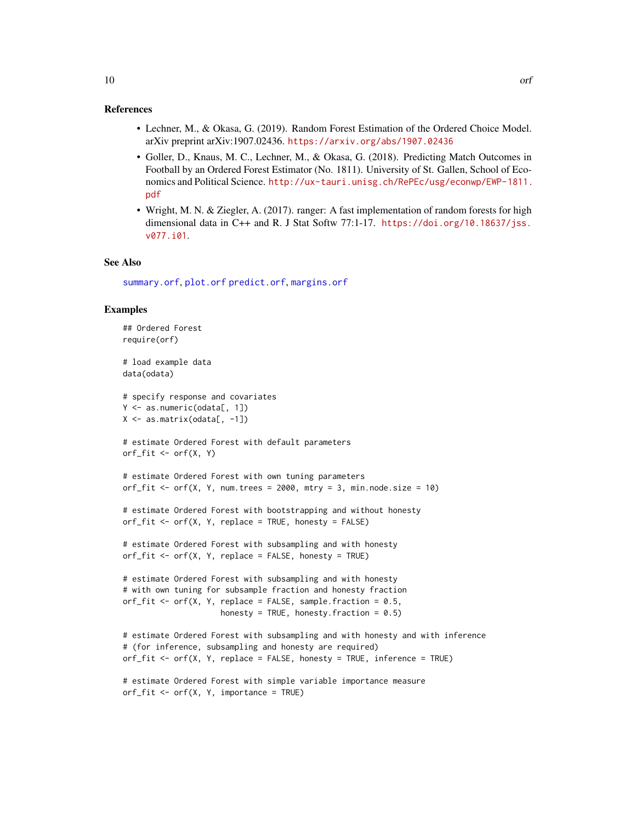#### <span id="page-9-0"></span>References

- Lechner, M., & Okasa, G. (2019). Random Forest Estimation of the Ordered Choice Model. arXiv preprint arXiv:1907.02436. <https://arxiv.org/abs/1907.02436>
- Goller, D., Knaus, M. C., Lechner, M., & Okasa, G. (2018). Predicting Match Outcomes in Football by an Ordered Forest Estimator (No. 1811). University of St. Gallen, School of Economics and Political Science. [http://ux-tauri.unisg.ch/RePEc/usg/econwp/EWP-1811.](http://ux-tauri.unisg.ch/RePEc/usg/econwp/EWP-1811.pdf) [pdf](http://ux-tauri.unisg.ch/RePEc/usg/econwp/EWP-1811.pdf)
- Wright, M. N. & Ziegler, A. (2017). ranger: A fast implementation of random forests for high dimensional data in C++ and R. J Stat Softw 77:1-17. [https://doi.org/10.18637/jss.](https://doi.org/10.18637/jss.v077.i01) [v077.i01](https://doi.org/10.18637/jss.v077.i01).

### See Also

[summary.orf](#page-17-1), [plot.orf](#page-10-1) [predict.orf](#page-11-1), [margins.orf](#page-3-1)

#### Examples

```
## Ordered Forest
require(orf)
# load example data
data(odata)
# specify response and covariates
Y <- as.numeric(odata[, 1])
X \leftarrow \text{as_matrix}(\text{odata}[, -1])# estimate Ordered Forest with default parameters
orf_fit \leftarrow orf(X, Y)# estimate Ordered Forest with own tuning parameters
orf_fit <- orf(X, Y, num.trees = 2000, mtry = 3, min-node.size = 10)# estimate Ordered Forest with bootstrapping and without honesty
orf_fit \leftarrow orf(X, Y, replace = TRUE, honesty = FALSE)# estimate Ordered Forest with subsampling and with honesty
orf_fit \leq orf(X, Y, replace = FALSE, honesty = TRUE)# estimate Ordered Forest with subsampling and with honesty
# with own tuning for subsample fraction and honesty fraction
orf_fit <- orf(X, Y, replace = FALSE, sample.fraction = 0.5,
                      honesty = TRUE, honesty. fraction = 0.5)
# estimate Ordered Forest with subsampling and with honesty and with inference
# (for inference, subsampling and honesty are required)
orf_fit <- orf(X, Y, replace = FALSE, honesty = TRUE, inference = TRUE)
# estimate Ordered Forest with simple variable importance measure
orf_fit \leftarrow orf(X, Y, importance = TRUE)
```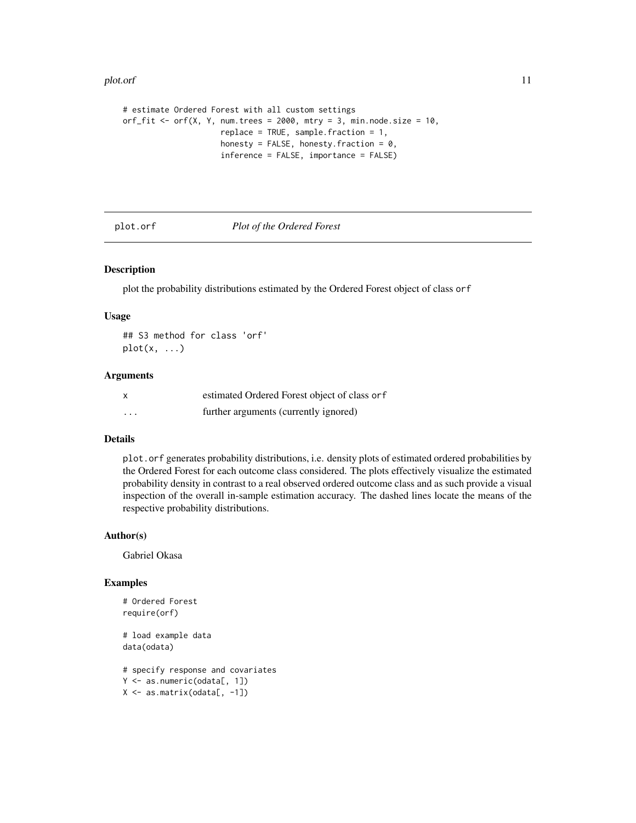#### <span id="page-10-0"></span>plot.orf 11

```
# estimate Ordered Forest with all custom settings
orf_fit <- orf(X, Y, num.trees = 2000, mtry = 3, min.node.size = 10,
                     replace = TRUE, sample.fraction = 1,
                     honesty = FALSE, honesty. fraction = 0,
                     inference = FALSE, importance = FALSE)
```
<span id="page-10-1"></span>plot.orf *Plot of the Ordered Forest*

# Description

plot the probability distributions estimated by the Ordered Forest object of class orf

# Usage

## S3 method for class 'orf'  $plot(x, \ldots)$ 

#### Arguments

|          | estimated Ordered Forest object of class or f |
|----------|-----------------------------------------------|
| $\cdots$ | further arguments (currently ignored)         |

# Details

plot.orf generates probability distributions, i.e. density plots of estimated ordered probabilities by the Ordered Forest for each outcome class considered. The plots effectively visualize the estimated probability density in contrast to a real observed ordered outcome class and as such provide a visual inspection of the overall in-sample estimation accuracy. The dashed lines locate the means of the respective probability distributions.

#### Author(s)

Gabriel Okasa

# Examples

```
# Ordered Forest
require(orf)
# load example data
data(odata)
# specify response and covariates
Y <- as.numeric(odata[, 1])
X \leftarrow \text{as_matrix}(\text{odata}[, -1])
```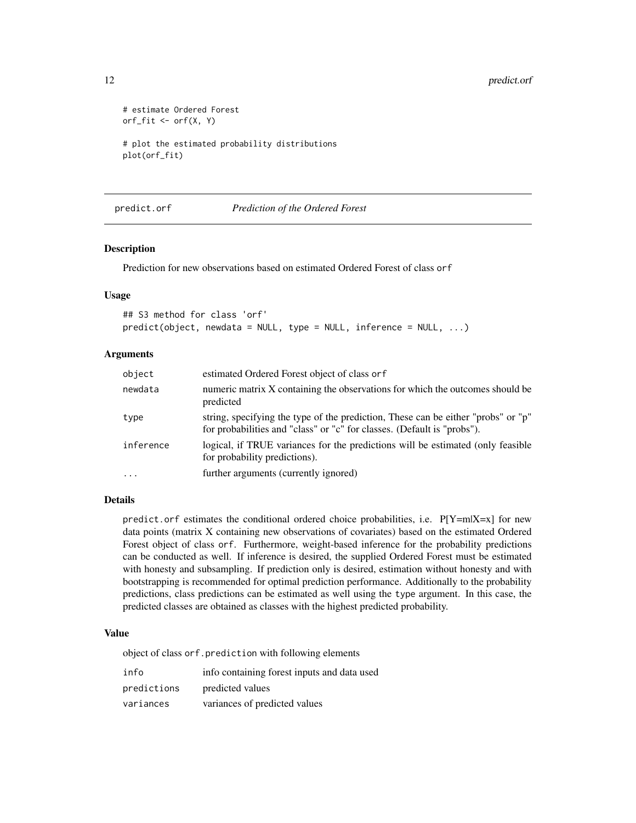```
# estimate Ordered Forest
orf_fit <- orf(X, Y)
# plot the estimated probability distributions
plot(orf_fit)
```
<span id="page-11-1"></span>

predict.orf *Prediction of the Ordered Forest*

#### Description

Prediction for new observations based on estimated Ordered Forest of class orf

## Usage

```
## S3 method for class 'orf'
predict(object, newdata = NULL, type = NULL, inference = NULL, ...)
```
# Arguments

| object    | estimated Ordered Forest object of class or f                                                                                                                |
|-----------|--------------------------------------------------------------------------------------------------------------------------------------------------------------|
| newdata   | numeric matrix X containing the observations for which the outcomes should be<br>predicted                                                                   |
| type      | string, specifying the type of the prediction, These can be either "probs" or "p"<br>for probabilities and "class" or "c" for classes. (Default is "probs"). |
| inference | logical, if TRUE variances for the predictions will be estimated (only feasible<br>for probability predictions).                                             |
| $\ddotsc$ | further arguments (currently ignored)                                                                                                                        |

# Details

predict.orf estimates the conditional ordered choice probabilities, i.e. P[Y=m|X=x] for new data points (matrix X containing new observations of covariates) based on the estimated Ordered Forest object of class orf. Furthermore, weight-based inference for the probability predictions can be conducted as well. If inference is desired, the supplied Ordered Forest must be estimated with honesty and subsampling. If prediction only is desired, estimation without honesty and with bootstrapping is recommended for optimal prediction performance. Additionally to the probability predictions, class predictions can be estimated as well using the type argument. In this case, the predicted classes are obtained as classes with the highest predicted probability.

#### Value

object of class orf.prediction with following elements

| info        | info containing forest inputs and data used |
|-------------|---------------------------------------------|
| predictions | predicted values                            |
| variances   | variances of predicted values               |

<span id="page-11-0"></span>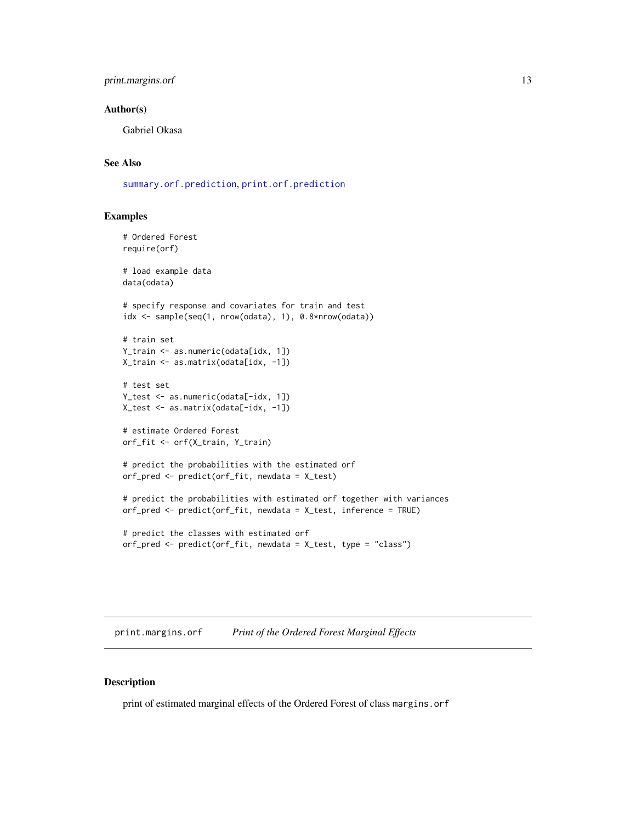# <span id="page-12-0"></span>print.margins.orf 13

## Author(s)

Gabriel Okasa

# See Also

[summary.orf.prediction](#page-18-1), [print.orf.prediction](#page-14-1)

# Examples

```
# Ordered Forest
require(orf)
# load example data
data(odata)
# specify response and covariates for train and test
idx <- sample(seq(1, nrow(odata), 1), 0.8*nrow(odata))
# train set
Y_train <- as.numeric(odata[idx, 1])
X_train <- as.matrix(odata[idx, -1])
# test set
Y_test <- as.numeric(odata[-idx, 1])
X_test <- as.matrix(odata[-idx, -1])
# estimate Ordered Forest
orf_fit <- orf(X_train, Y_train)
# predict the probabilities with the estimated orf
orf_pred <- predict(orf_fit, newdata = X_test)
# predict the probabilities with estimated orf together with variances
orf_pred <- predict(orf_fit, newdata = X_test, inference = TRUE)
# predict the classes with estimated orf
orf_pred <- predict(orf_fit, newdata = X_test, type = "class")
```
<span id="page-12-1"></span>print.margins.orf *Print of the Ordered Forest Marginal Effects*

#### Description

print of estimated marginal effects of the Ordered Forest of class margins.orf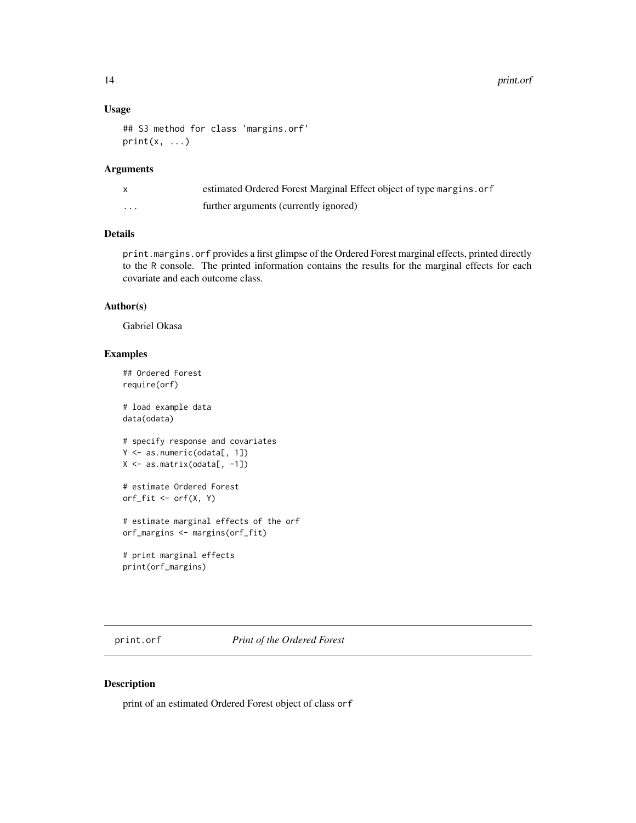# <span id="page-13-0"></span>Usage

```
## S3 method for class 'margins.orf'
print(x, \ldots)
```
#### Arguments

|          | estimated Ordered Forest Marginal Effect object of type margins.orf |
|----------|---------------------------------------------------------------------|
| $\cdots$ | further arguments (currently ignored)                               |

# Details

print.margins.orf provides a first glimpse of the Ordered Forest marginal effects, printed directly to the R console. The printed information contains the results for the marginal effects for each covariate and each outcome class.

# Author(s)

Gabriel Okasa

# Examples

```
## Ordered Forest
require(orf)
# load example data
data(odata)
# specify response and covariates
Y <- as.numeric(odata[, 1])
X \leftarrow \text{as_matrix}(\text{odata}[, -1])# estimate Ordered Forest
orf_fit \leftarrow orf(X, Y)# estimate marginal effects of the orf
orf_margins <- margins(orf_fit)
# print marginal effects
print(orf_margins)
```
print.orf *Print of the Ordered Forest*

# Description

print of an estimated Ordered Forest object of class orf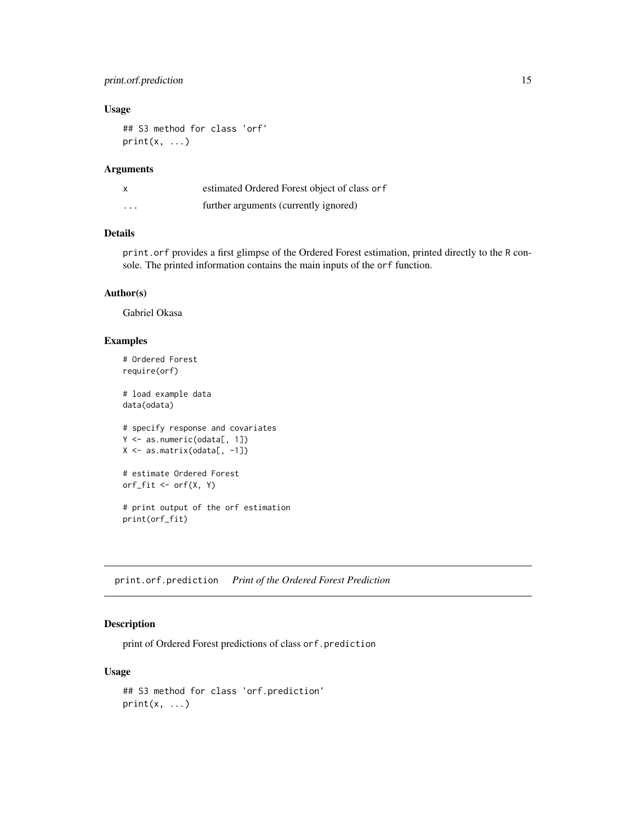# <span id="page-14-0"></span>print.orf.prediction 15

# Usage

```
## S3 method for class 'orf'
print(x, \ldots)
```
### Arguments

|          | estimated Ordered Forest object of class or f |
|----------|-----------------------------------------------|
| $\cdots$ | further arguments (currently ignored)         |

# Details

print.orf provides a first glimpse of the Ordered Forest estimation, printed directly to the R console. The printed information contains the main inputs of the orf function.

# Author(s)

Gabriel Okasa

## Examples

```
# Ordered Forest
require(orf)
# load example data
data(odata)
# specify response and covariates
Y <- as.numeric(odata[, 1])
X \leftarrow \text{as_matrix}(\text{odata}[, -1])# estimate Ordered Forest
orf_fit <- orf(X, Y)
# print output of the orf estimation
print(orf_fit)
```
<span id="page-14-1"></span>print.orf.prediction *Print of the Ordered Forest Prediction*

# Description

print of Ordered Forest predictions of class or f. prediction

#### Usage

```
## S3 method for class 'orf.prediction'
print(x, \ldots)
```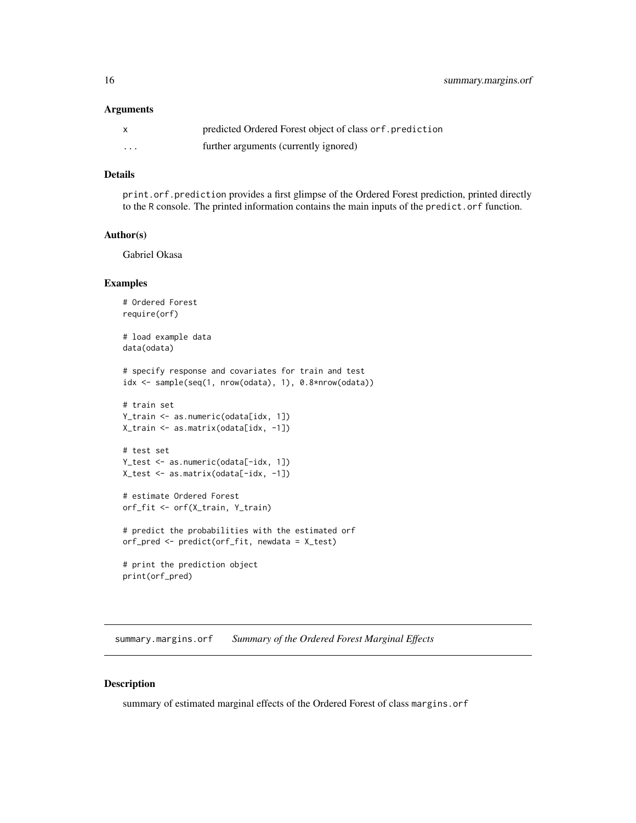#### <span id="page-15-0"></span>**Arguments**

|   | predicted Ordered Forest object of class or f. prediction |
|---|-----------------------------------------------------------|
| . | further arguments (currently ignored)                     |

# Details

print.orf.prediction provides a first glimpse of the Ordered Forest prediction, printed directly to the R console. The printed information contains the main inputs of the predict.orf function.

#### Author(s)

Gabriel Okasa

#### Examples

```
# Ordered Forest
require(orf)
# load example data
data(odata)
# specify response and covariates for train and test
idx <- sample(seq(1, nrow(odata), 1), 0.8*nrow(odata))
# train set
Y_train <- as.numeric(odata[idx, 1])
X_train <- as.matrix(odata[idx, -1])
# test set
Y_test <- as.numeric(odata[-idx, 1])
X_test <- as.matrix(odata[-idx, -1])
# estimate Ordered Forest
orf_fit <- orf(X_train, Y_train)
# predict the probabilities with the estimated orf
orf_pred <- predict(orf_fit, newdata = X_test)
# print the prediction object
print(orf_pred)
```
<span id="page-15-1"></span>summary.margins.orf *Summary of the Ordered Forest Marginal Effects*

#### Description

summary of estimated marginal effects of the Ordered Forest of class margins.orf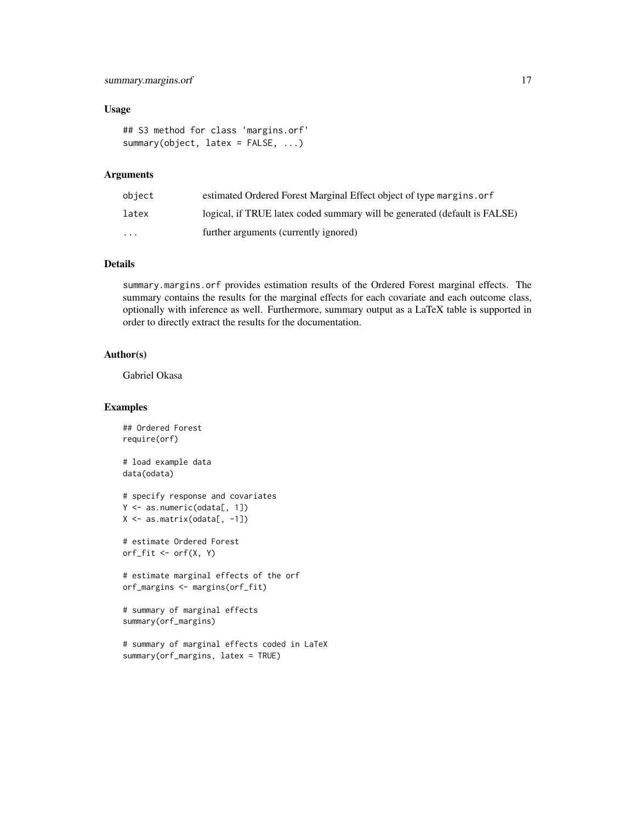# summary.margins.orf 17

#### Usage

```
## S3 method for class 'margins.orf'
summary(object, latex = FALSE, ...)
```
# **Arguments**

| object   | estimated Ordered Forest Marginal Effect object of type margins, or f     |
|----------|---------------------------------------------------------------------------|
| latex    | logical, if TRUE latex coded summary will be generated (default is FALSE) |
| $\cdots$ | further arguments (currently ignored)                                     |

# Details

summary.margins.orf provides estimation results of the Ordered Forest marginal effects. The summary contains the results for the marginal effects for each covariate and each outcome class, optionally with inference as well. Furthermore, summary output as a LaTeX table is supported in order to directly extract the results for the documentation.

# Author(s)

Gabriel Okasa

# Examples

```
## Ordered Forest
require(orf)
```
# load example data data(odata)

```
# specify response and covariates
Y <- as.numeric(odata[, 1])
X <- as.matrix(odata[, -1])
```

```
# estimate Ordered Forest
orf_fit <- orf(X, Y)
```

```
# estimate marginal effects of the orf
orf_margins <- margins(orf_fit)
```

```
# summary of marginal effects
summary(orf_margins)
```

```
# summary of marginal effects coded in LaTeX
summary(orf_margins, latex = TRUE)
```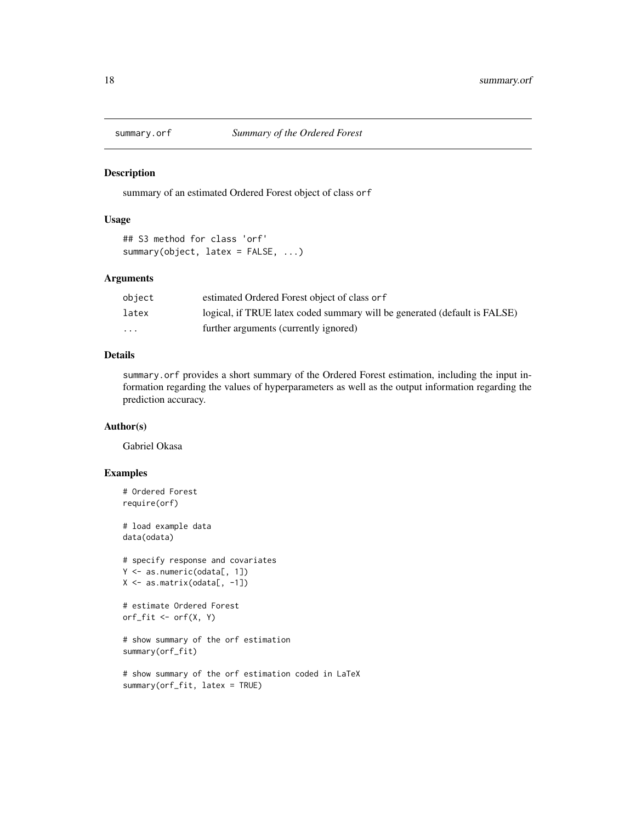<span id="page-17-1"></span><span id="page-17-0"></span>

#### Description

summary of an estimated Ordered Forest object of class orf

# Usage

```
## S3 method for class 'orf'
summary(object, latex = FALSE, ...)
```
#### Arguments

| object                  | estimated Ordered Forest object of class or f                             |
|-------------------------|---------------------------------------------------------------------------|
| latex                   | logical, if TRUE latex coded summary will be generated (default is FALSE) |
| $\cdot$ $\cdot$ $\cdot$ | further arguments (currently ignored)                                     |

# Details

summary.orf provides a short summary of the Ordered Forest estimation, including the input information regarding the values of hyperparameters as well as the output information regarding the prediction accuracy.

# Author(s)

Gabriel Okasa

# Examples

```
# Ordered Forest
require(orf)
# load example data
data(odata)
# specify response and covariates
Y <- as.numeric(odata[, 1])
X <- as.matrix(odata[, -1])
# estimate Ordered Forest
orf_fit <- orf(X, Y)
# show summary of the orf estimation
summary(orf_fit)
# show summary of the orf estimation coded in LaTeX
summary(orf_fit, latex = TRUE)
```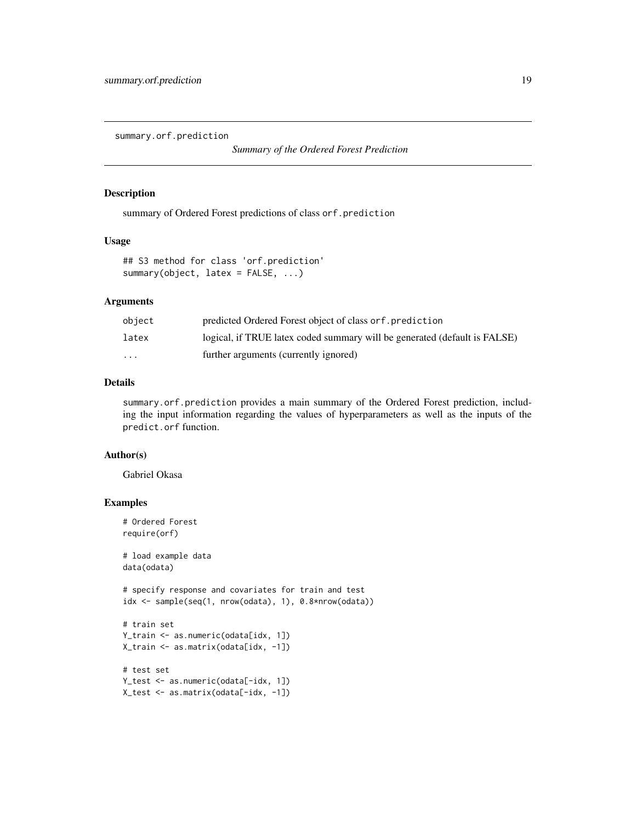<span id="page-18-1"></span><span id="page-18-0"></span>summary.orf.prediction

*Summary of the Ordered Forest Prediction*

#### Description

summary of Ordered Forest predictions of class orf.prediction

#### Usage

```
## S3 method for class 'orf.prediction'
summary(object, latex = FALSE, ...)
```
# Arguments

| object                  | predicted Ordered Forest object of class or f. prediction                 |
|-------------------------|---------------------------------------------------------------------------|
| latex                   | logical, if TRUE latex coded summary will be generated (default is FALSE) |
| $\cdot$ $\cdot$ $\cdot$ | further arguments (currently ignored)                                     |

# Details

summary.orf.prediction provides a main summary of the Ordered Forest prediction, including the input information regarding the values of hyperparameters as well as the inputs of the predict.orf function.

#### Author(s)

Gabriel Okasa

# Examples

```
# Ordered Forest
require(orf)
# load example data
data(odata)
# specify response and covariates for train and test
idx <- sample(seq(1, nrow(odata), 1), 0.8*nrow(odata))
# train set
Y_train <- as.numeric(odata[idx, 1])
X_train <- as.matrix(odata[idx, -1])
# test set
Y_test <- as.numeric(odata[-idx, 1])
X_test <- as.matrix(odata[-idx, -1])
```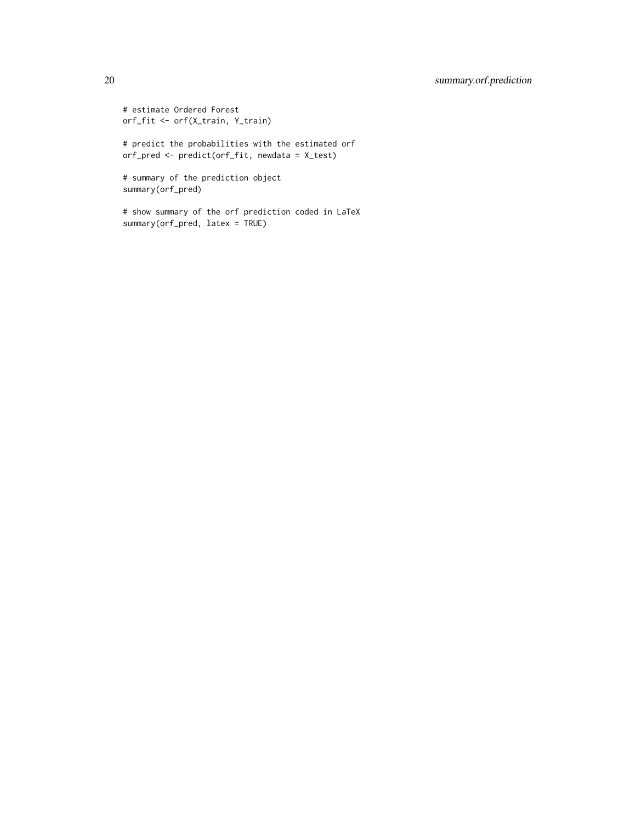# 20 summary.orf.prediction

```
# estimate Ordered Forest
orf_fit <- orf(X_train, Y_train)
# predict the probabilities with the estimated orf
orf_pred <- predict(orf_fit, newdata = X_test)
# summary of the prediction object
summary(orf_pred)
# show summary of the orf prediction coded in LaTeX
summary(orf_pred, latex = TRUE)
```